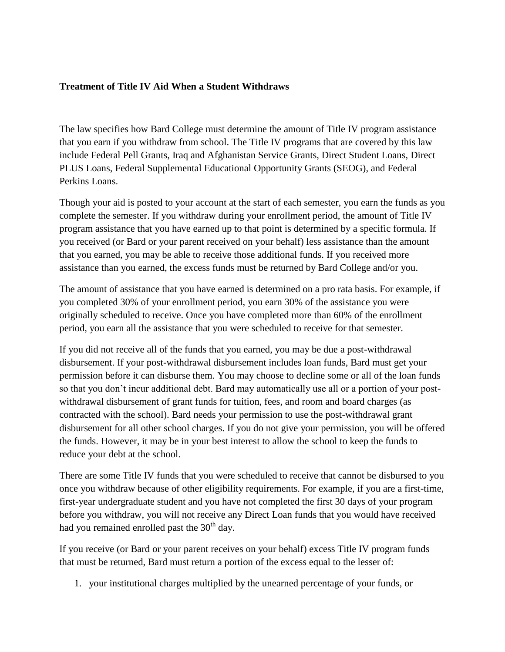## **Treatment of Title IV Aid When a Student Withdraws**

The law specifies how Bard College must determine the amount of Title IV program assistance that you earn if you withdraw from school. The Title IV programs that are covered by this law include Federal Pell Grants, Iraq and Afghanistan Service Grants, Direct Student Loans, Direct PLUS Loans, Federal Supplemental Educational Opportunity Grants (SEOG), and Federal Perkins Loans.

Though your aid is posted to your account at the start of each semester, you earn the funds as you complete the semester. If you withdraw during your enrollment period, the amount of Title IV program assistance that you have earned up to that point is determined by a specific formula. If you received (or Bard or your parent received on your behalf) less assistance than the amount that you earned, you may be able to receive those additional funds. If you received more assistance than you earned, the excess funds must be returned by Bard College and/or you.

The amount of assistance that you have earned is determined on a pro rata basis. For example, if you completed 30% of your enrollment period, you earn 30% of the assistance you were originally scheduled to receive. Once you have completed more than 60% of the enrollment period, you earn all the assistance that you were scheduled to receive for that semester.

If you did not receive all of the funds that you earned, you may be due a post-withdrawal disbursement. If your post-withdrawal disbursement includes loan funds, Bard must get your permission before it can disburse them. You may choose to decline some or all of the loan funds so that you don't incur additional debt. Bard may automatically use all or a portion of your postwithdrawal disbursement of grant funds for tuition, fees, and room and board charges (as contracted with the school). Bard needs your permission to use the post-withdrawal grant disbursement for all other school charges. If you do not give your permission, you will be offered the funds. However, it may be in your best interest to allow the school to keep the funds to reduce your debt at the school.

There are some Title IV funds that you were scheduled to receive that cannot be disbursed to you once you withdraw because of other eligibility requirements. For example, if you are a first-time, first-year undergraduate student and you have not completed the first 30 days of your program before you withdraw, you will not receive any Direct Loan funds that you would have received had you remained enrolled past the  $30<sup>th</sup>$  day.

If you receive (or Bard or your parent receives on your behalf) excess Title IV program funds that must be returned, Bard must return a portion of the excess equal to the lesser of:

1. your institutional charges multiplied by the unearned percentage of your funds, or